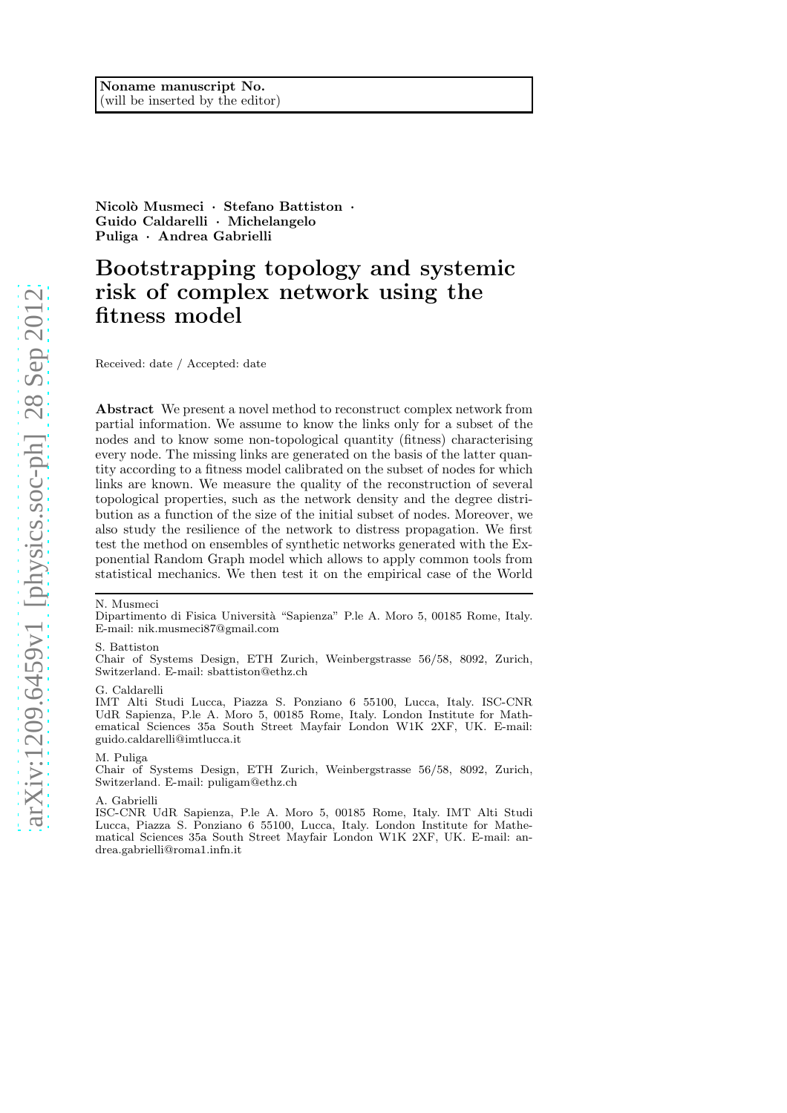Nicolò Musmeci · Stefano Battiston · Guido Caldarelli · Michelangelo Puliga · Andrea Gabrielli

# Bootstrapping topology and systemic risk of complex network using the fitness model

Received: date / Accepted: date

Abstract We present a novel method to reconstruct complex network from partial information. We assume to know the links only for a subset of the nodes and to know some non-topological quantity (fitness) characterising every node. The missing links are generated on the basis of the latter quantity according to a fitness model calibrated on the subset of nodes for which links are known. We measure the quality of the reconstruction of several topological properties, such as the network density and the degree distribution as a function of the size of the initial subset of nodes. Moreover, we also study the resilience of the network to distress propagation. We first test the method on ensembles of synthetic networks generated with the Exponential Random Graph model which allows to apply common tools from statistical mechanics. We then test it on the empirical case of the World

#### N. Musmeci

Dipartimento di Fisica Universit`a "Sapienza" P.le A. Moro 5, 00185 Rome, Italy. E-mail: nik.musmeci87@gmail.com

#### S. Battiston

Chair of Systems Design, ETH Zurich, Weinbergstrasse 56/58, 8092, Zurich, Switzerland. E-mail: sbattiston@ethz.ch

#### G. Caldarelli

IMT Alti Studi Lucca, Piazza S. Ponziano 6 55100, Lucca, Italy. ISC-CNR UdR Sapienza, P.le A. Moro 5, 00185 Rome, Italy. London Institute for Mathematical Sciences 35a South Street Mayfair London W1K 2XF, UK. E-mail: guido.caldarelli@imtlucca.it

#### M. Puliga

Chair of Systems Design, ETH Zurich, Weinbergstrasse 56/58, 8092, Zurich, Switzerland. E-mail: puligam@ethz.ch

#### A. Gabrielli

ISC-CNR UdR Sapienza, P.le A. Moro 5, 00185 Rome, Italy. IMT Alti Studi Lucca, Piazza S. Ponziano 6 55100, Lucca, Italy. London Institute for Mathematical Sciences 35a South Street Mayfair London W1K 2XF, UK. E-mail: andrea.gabrielli@roma1.infn.it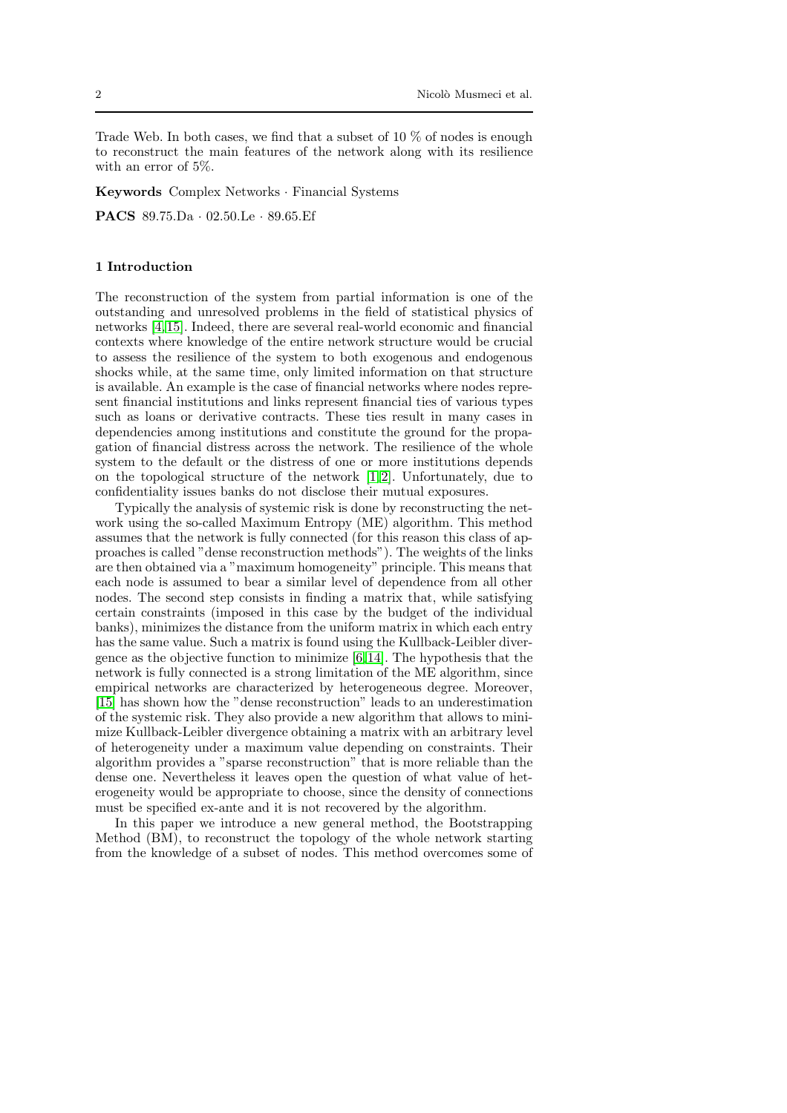Trade Web. In both cases, we find that a subset of 10  $\%$  of nodes is enough to reconstruct the main features of the network along with its resilience with an error of 5%.

Keywords Complex Networks · Financial Systems

PACS 89.75.Da · 02.50.Le · 89.65.Ef

## <span id="page-1-0"></span>1 Introduction

The reconstruction of the system from partial information is one of the outstanding and unresolved problems in the field of statistical physics of networks [\[4,](#page-16-0) [15\]](#page-16-1). Indeed, there are several real-world economic and financial contexts where knowledge of the entire network structure would be crucial to assess the resilience of the system to both exogenous and endogenous shocks while, at the same time, only limited information on that structure is available. An example is the case of financial networks where nodes represent financial institutions and links represent financial ties of various types such as loans or derivative contracts. These ties result in many cases in dependencies among institutions and constitute the ground for the propagation of financial distress across the network. The resilience of the whole system to the default or the distress of one or more institutions depends on the topological structure of the network [\[1,](#page-16-2) [2\]](#page-16-3). Unfortunately, due to confidentiality issues banks do not disclose their mutual exposures.

Typically the analysis of systemic risk is done by reconstructing the network using the so-called Maximum Entropy (ME) algorithm. This method assumes that the network is fully connected (for this reason this class of approaches is called "dense reconstruction methods"). The weights of the links are then obtained via a "maximum homogeneity" principle. This means that each node is assumed to bear a similar level of dependence from all other nodes. The second step consists in finding a matrix that, while satisfying certain constraints (imposed in this case by the budget of the individual banks), minimizes the distance from the uniform matrix in which each entry has the same value. Such a matrix is found using the Kullback-Leibler divergence as the objective function to minimize [\[6,](#page-16-4) [14\]](#page-16-5). The hypothesis that the network is fully connected is a strong limitation of the ME algorithm, since empirical networks are characterized by heterogeneous degree. Moreover, [\[15\]](#page-16-1) has shown how the "dense reconstruction" leads to an underestimation of the systemic risk. They also provide a new algorithm that allows to minimize Kullback-Leibler divergence obtaining a matrix with an arbitrary level of heterogeneity under a maximum value depending on constraints. Their algorithm provides a "sparse reconstruction" that is more reliable than the dense one. Nevertheless it leaves open the question of what value of heterogeneity would be appropriate to choose, since the density of connections must be specified ex-ante and it is not recovered by the algorithm.

In this paper we introduce a new general method, the Bootstrapping Method (BM), to reconstruct the topology of the whole network starting from the knowledge of a subset of nodes. This method overcomes some of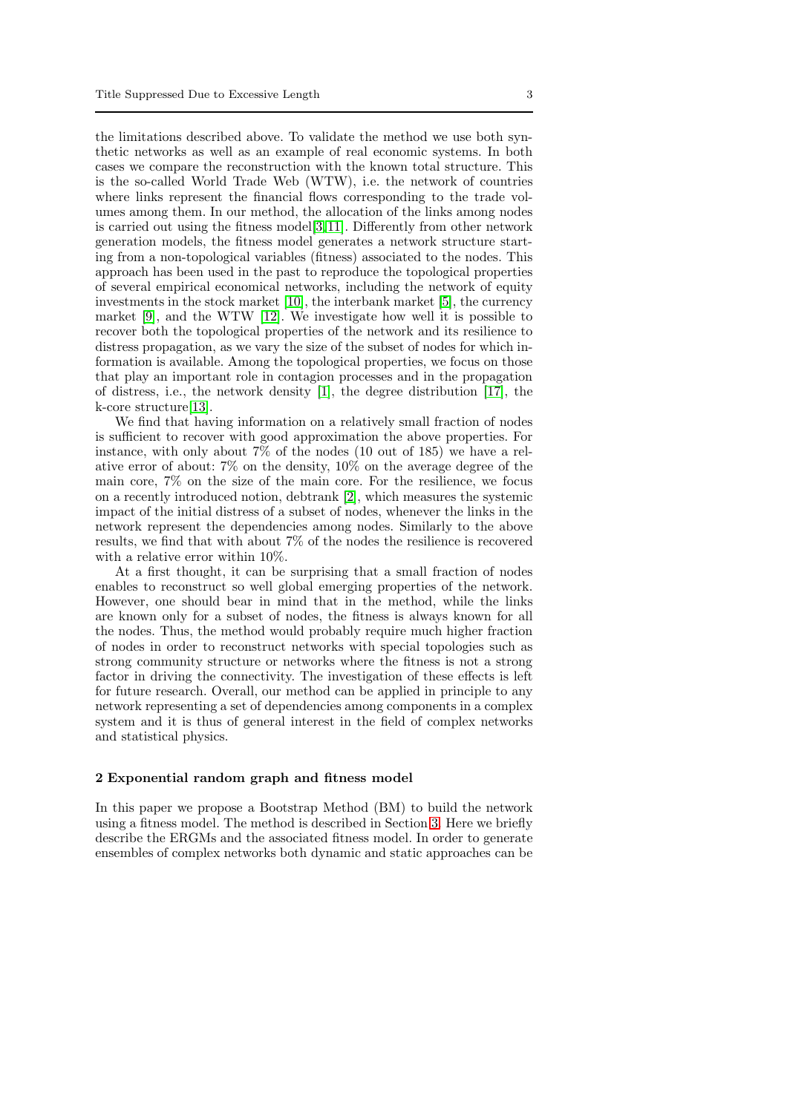the limitations described above. To validate the method we use both synthetic networks as well as an example of real economic systems. In both cases we compare the reconstruction with the known total structure. This is the so-called World Trade Web (WTW), i.e. the network of countries where links represent the financial flows corresponding to the trade volumes among them. In our method, the allocation of the links among nodes is carried out using the fitness model[\[3,](#page-16-6) [11\]](#page-16-7). Differently from other network generation models, the fitness model generates a network structure starting from a non-topological variables (fitness) associated to the nodes. This approach has been used in the past to reproduce the topological properties of several empirical economical networks, including the network of equity investments in the stock market [\[10\]](#page-16-8), the interbank market [\[5\]](#page-16-9), the currency market [\[9\]](#page-16-10), and the WTW [\[12\]](#page-16-11). We investigate how well it is possible to recover both the topological properties of the network and its resilience to distress propagation, as we vary the size of the subset of nodes for which information is available. Among the topological properties, we focus on those that play an important role in contagion processes and in the propagation of distress, i.e., the network density [\[1\]](#page-16-2), the degree distribution [\[17\]](#page-16-12), the k-core structure[\[13\]](#page-16-13).

We find that having information on a relatively small fraction of nodes is sufficient to recover with good approximation the above properties. For instance, with only about 7% of the nodes (10 out of 185) we have a relative error of about: 7% on the density, 10% on the average degree of the main core, 7% on the size of the main core. For the resilience, we focus on a recently introduced notion, debtrank [\[2\]](#page-16-3), which measures the systemic impact of the initial distress of a subset of nodes, whenever the links in the network represent the dependencies among nodes. Similarly to the above results, we find that with about 7% of the nodes the resilience is recovered with a relative error within 10%.

At a first thought, it can be surprising that a small fraction of nodes enables to reconstruct so well global emerging properties of the network. However, one should bear in mind that in the method, while the links are known only for a subset of nodes, the fitness is always known for all the nodes. Thus, the method would probably require much higher fraction of nodes in order to reconstruct networks with special topologies such as strong community structure or networks where the fitness is not a strong factor in driving the connectivity. The investigation of these effects is left for future research. Overall, our method can be applied in principle to any network representing a set of dependencies among components in a complex system and it is thus of general interest in the field of complex networks and statistical physics.

#### 2 Exponential random graph and fitness model

In this paper we propose a Bootstrap Method (BM) to build the network using a fitness model. The method is described in Section [3.](#page-4-0) Here we briefly describe the ERGMs and the associated fitness model. In order to generate ensembles of complex networks both dynamic and static approaches can be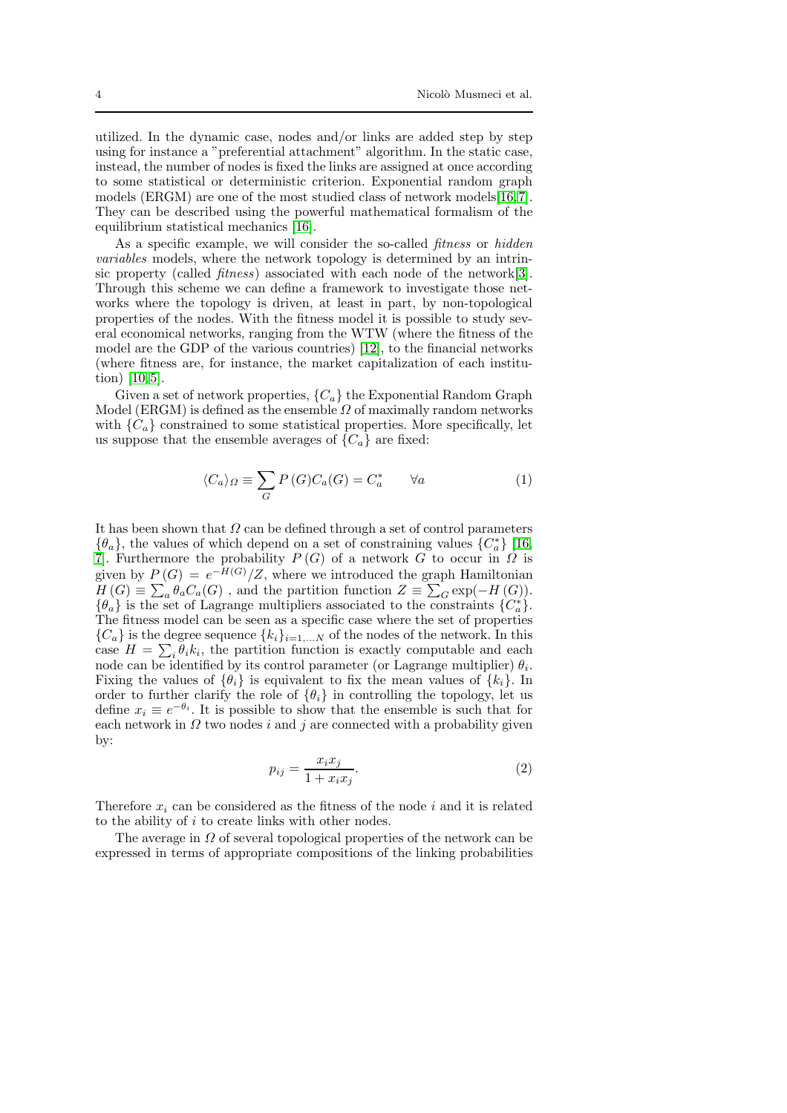utilized. In the dynamic case, nodes and/or links are added step by step using for instance a "preferential attachment" algorithm. In the static case, instead, the number of nodes is fixed the links are assigned at once according to some statistical or deterministic criterion. Exponential random graph models (ERGM) are one of the most studied class of network models[\[16,](#page-16-14)[7\]](#page-16-15). They can be described using the powerful mathematical formalism of the equilibrium statistical mechanics [\[16\]](#page-16-14).

As a specific example, we will consider the so-called *fitness* or *hidden* variables models, where the network topology is determined by an intrinsic property (called *fitness*) associated with each node of the network[\[3\]](#page-16-6). Through this scheme we can define a framework to investigate those networks where the topology is driven, at least in part, by non-topological properties of the nodes. With the fitness model it is possible to study several economical networks, ranging from the WTW (where the fitness of the model are the GDP of the various countries) [\[12\]](#page-16-11), to the financial networks (where fitness are, for instance, the market capitalization of each institution) [\[10,](#page-16-8) [5\]](#page-16-9).

Given a set of network properties,  $\{C_a\}$  the Exponential Random Graph Model (ERGM) is defined as the ensemble  $\Omega$  of maximally random networks with  ${C_a}$  constrained to some statistical properties. More specifically, let us suppose that the ensemble averages of  $\{C_a\}$  are fixed:

$$
\langle C_a \rangle_{\Omega} \equiv \sum_G P(G) C_a(G) = C_a^* \qquad \forall a \tag{1}
$$

It has been shown that  $\Omega$  can be defined through a set of control parameters  $\{\theta_a\}$ , the values of which depend on a set of constraining values  $\{C_a^*\}$  [\[16,](#page-16-14) 7. Furthermore the probability  $P(G)$  of a network G to occur in  $\overline{\Omega}$  is given by  $P(G) = e^{-H(G)} / Z$ , where we introduced the graph Hamiltonian  $H(G) \equiv \sum_a \theta_a C_a(G)$ , and the partition function  $Z \equiv \sum_G \exp(-H(G)).$  $\{\theta_a\}$  is the set of Lagrange multipliers associated to the constraints  $\{C_a^*\}$ . The fitness model can be seen as a specific case where the set of properties  ${C_a}$  is the degree sequence  ${k_i}_{i=1,...N}$  of the nodes of the network. In this case  $H = \sum_i \theta_i k_i$ , the partition function is exactly computable and each node can be identified by its control parameter (or Lagrange multiplier)  $\theta_i$ . Fixing the values of  $\{\theta_i\}$  is equivalent to fix the mean values of  $\{k_i\}$ . In order to further clarify the role of  $\{\theta_i\}$  in controlling the topology, let us define  $x_i \equiv e^{-\theta_i}$ . It is possible to show that the ensemble is such that for each network in  $\Omega$  two nodes i and j are connected with a probability given by:

<span id="page-3-0"></span>
$$
p_{ij} = \frac{x_i x_j}{1 + x_i x_j}.\tag{2}
$$

Therefore  $x_i$  can be considered as the fitness of the node i and it is related to the ability of i to create links with other nodes.

The average in  $\Omega$  of several topological properties of the network can be expressed in terms of appropriate compositions of the linking probabilities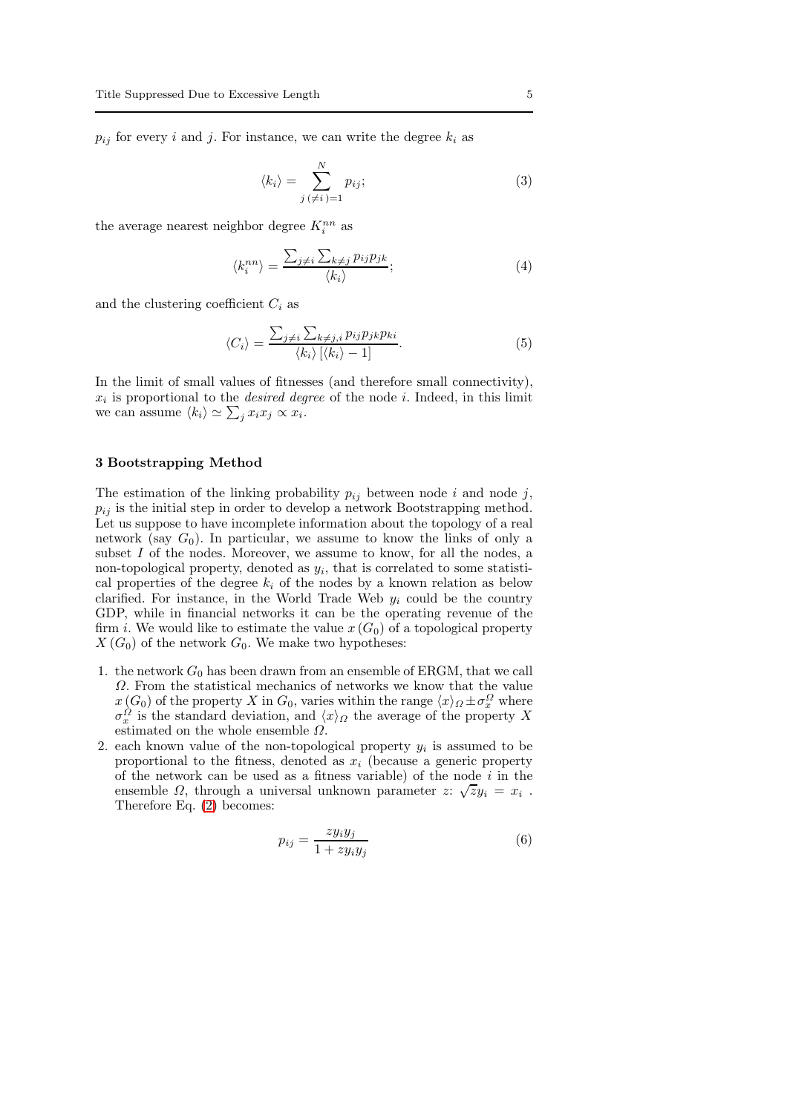$p_{ij}$  for every i and j. For instance, we can write the degree  $k_i$  as

$$
\langle k_i \rangle = \sum_{j \, (\neq i \,)=1}^{N} p_{ij};\tag{3}
$$

the average nearest neighbor degree  $K_i^{nn}$  as

$$
\langle k_i^{nn} \rangle = \frac{\sum_{j \neq i} \sum_{k \neq j} p_{ij} p_{jk}}{\langle k_i \rangle};\tag{4}
$$

and the clustering coefficient  $C_i$  as

$$
\langle C_i \rangle = \frac{\sum_{j \neq i} \sum_{k \neq j, i} p_{ij} p_{jk} p_{ki}}{\langle k_i \rangle \left[ \langle k_i \rangle - 1 \right]}.
$$
 (5)

In the limit of small values of fitnesses (and therefore small connectivity),  $x_i$  is proportional to the *desired degree* of the node i. Indeed, in this limit we can assume  $\langle k_i \rangle \simeq \sum_j x_i x_j \propto x_i$ .

## <span id="page-4-0"></span>3 Bootstrapping Method

The estimation of the linking probability  $p_{ij}$  between node i and node j,  $p_{ij}$  is the initial step in order to develop a network Bootstrapping method. Let us suppose to have incomplete information about the topology of a real network (say  $G_0$ ). In particular, we assume to know the links of only a subset  $I$  of the nodes. Moreover, we assume to know, for all the nodes, a non-topological property, denoted as  $y_i$ , that is correlated to some statistical properties of the degree  $k_i$  of the nodes by a known relation as below clarified. For instance, in the World Trade Web  $y_i$  could be the country GDP, while in financial networks it can be the operating revenue of the firm *i*. We would like to estimate the value  $x(G_0)$  of a topological property  $X(G_0)$  of the network  $G_0$ . We make two hypotheses:

- 1. the network  $G_0$  has been drawn from an ensemble of ERGM, that we call  $\Omega$ . From the statistical mechanics of networks we know that the value  $x(G_0)$  of the property X in  $G_0$ , varies within the range  $\langle x \rangle_{\Omega} \pm \sigma_x^{\Omega}$  where  $\sigma_x^{\Omega}$  is the standard deviation, and  $\langle x \rangle_{\Omega}$  the average of the property X estimated on the whole ensemble  $\Omega$ .
- 2. each known value of the non-topological property  $y_i$  is assumed to be proportional to the fitness, denoted as  $x_i$  (because a generic property of the network can be used as a fitness variable) of the node  $i$  in the ensemble  $\Omega$ , through a universal unknown parameter  $z: \sqrt{z}y_i = x_i$ . Therefore Eq. [\(2\)](#page-3-0) becomes:

<span id="page-4-1"></span>
$$
p_{ij} = \frac{zy_iy_j}{1 + zy_iy_j} \tag{6}
$$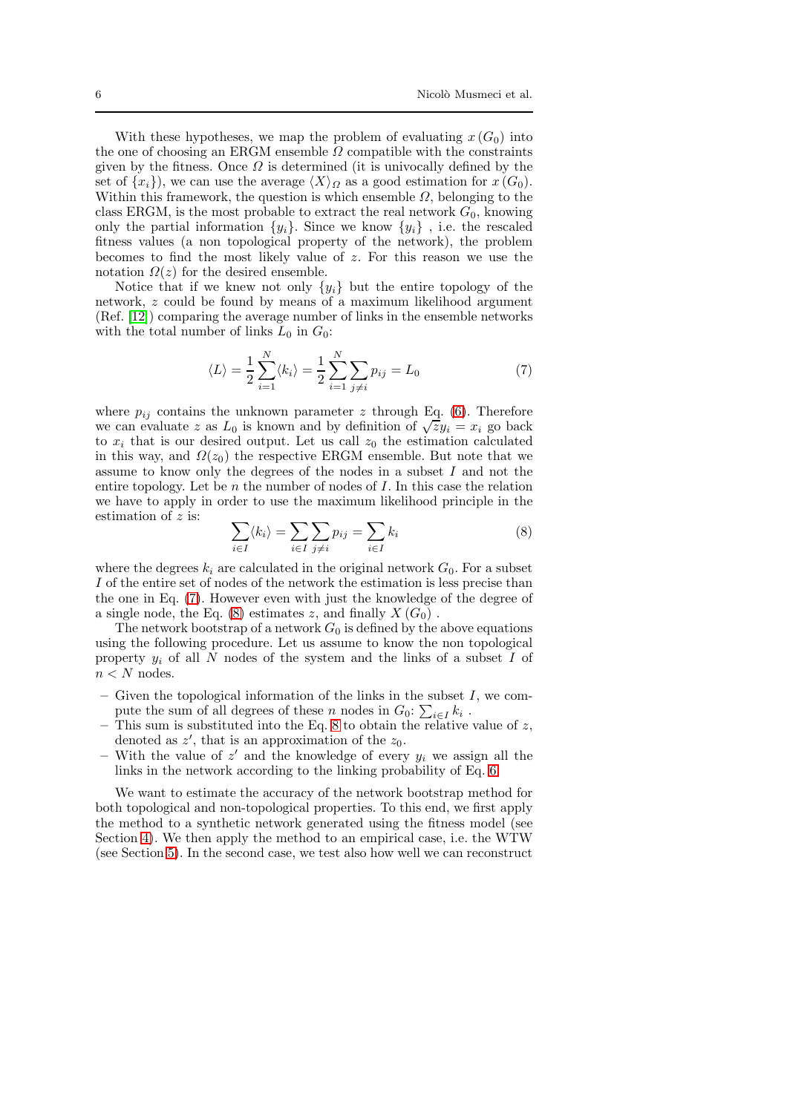With these hypotheses, we map the problem of evaluating  $x(G_0)$  into the one of choosing an ERGM ensemble  $\Omega$  compatible with the constraints given by the fitness. Once  $\Omega$  is determined (it is univocally defined by the set of  $\{x_i\}$ , we can use the average  $\langle X \rangle_{\Omega}$  as a good estimation for  $x(G_0)$ . Within this framework, the question is which ensemble  $\Omega$ , belonging to the class ERGM, is the most probable to extract the real network  $G_0$ , knowing only the partial information  $\{y_i\}$ . Since we know  $\{y_i\}$ , i.e. the rescaled fitness values (a non topological property of the network), the problem becomes to find the most likely value of z. For this reason we use the notation  $\Omega(z)$  for the desired ensemble.

Notice that if we knew not only  $\{y_i\}$  but the entire topology of the network, z could be found by means of a maximum likelihood argument (Ref. [\[12\]](#page-16-11)) comparing the average number of links in the ensemble networks with the total number of links  $L_0$  in  $G_0$ :

<span id="page-5-0"></span>
$$
\langle L \rangle = \frac{1}{2} \sum_{i=1}^{N} \langle k_i \rangle = \frac{1}{2} \sum_{i=1}^{N} \sum_{j \neq i} p_{ij} = L_0
$$
 (7)

where  $p_{ij}$  contains the unknown parameter z through Eq. [\(6\)](#page-4-1). Therefore we can evaluate z as  $L_0$  is known and by definition of  $\sqrt{zy_i} = x_i$  go back to  $x_i$  that is our desired output. Let us call  $z_0$  the estimation calculated in this way, and  $\Omega(z_0)$  the respective ERGM ensemble. But note that we assume to know only the degrees of the nodes in a subset  $I$  and not the entire topology. Let be  $n$  the number of nodes of  $I$ . In this case the relation we have to apply in order to use the maximum likelihood principle in the estimation of z is:

<span id="page-5-1"></span>
$$
\sum_{i \in I} \langle k_i \rangle = \sum_{i \in I} \sum_{j \neq i} p_{ij} = \sum_{i \in I} k_i \tag{8}
$$

where the degrees  $k_i$  are calculated in the original network  $G_0$ . For a subset I of the entire set of nodes of the network the estimation is less precise than the one in Eq. [\(7\)](#page-5-0). However even with just the knowledge of the degree of a single node, the Eq.  $(8)$  estimates z, and finally  $X(G_0)$ .

The network bootstrap of a network  $G_0$  is defined by the above equations using the following procedure. Let us assume to know the non topological property  $y_i$  of all  $N$  nodes of the system and the links of a subset  $I$  of  $n < N$  nodes.

- Given the topological information of the links in the subset  $I$ , we compute the sum of all degrees of these n nodes in  $G_0$ :  $\sum_{i \in I} k_i$ .
- This sum is substituted into the Eq. [8](#page-5-1) to obtain the relative value of  $z$ , denoted as  $z'$ , that is an approximation of the  $z_0$ .
- With the value of  $z'$  and the knowledge of every  $y_i$  we assign all the links in the network according to the linking probability of Eq. [6.](#page-4-1)

We want to estimate the accuracy of the network bootstrap method for both topological and non-topological properties. To this end, we first apply the method to a synthetic network generated using the fitness model (see Section [4\)](#page-6-0). We then apply the method to an empirical case, i.e. the WTW (see Section [5\)](#page-8-0). In the second case, we test also how well we can reconstruct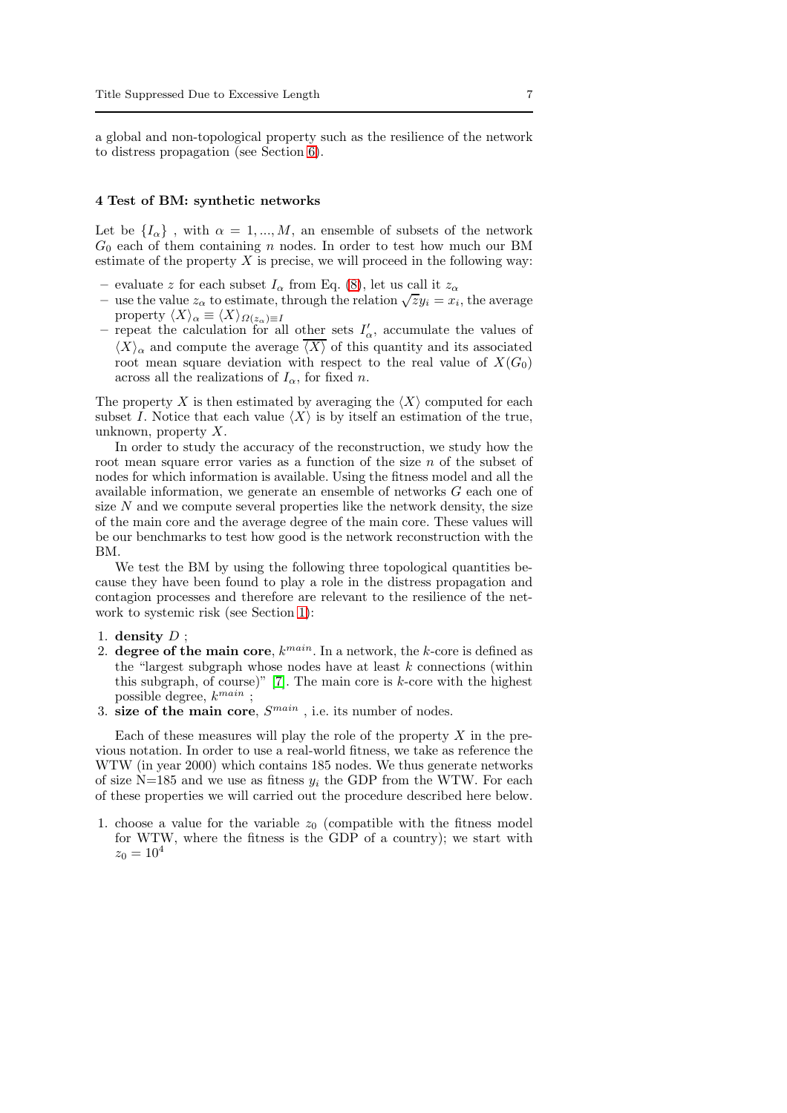a global and non-topological property such as the resilience of the network to distress propagation (see Section [6\)](#page-9-0).

### <span id="page-6-0"></span>4 Test of BM: synthetic networks

Let be  $\{I_{\alpha}\}\,$ , with  $\alpha = 1,...,M$ , an ensemble of subsets of the network  $G_0$  each of them containing n nodes. In order to test how much our BM estimate of the property  $X$  is precise, we will proceed in the following way:

- evaluate z for each subset  $I_{\alpha}$  from Eq. [\(8\)](#page-5-1), let us call it  $z_{\alpha}$
- use the value  $z_{\alpha}$  to estimate, through the relation  $\sqrt{z}y_i = x_i$ , the average property  $\langle X \rangle_\alpha \equiv \langle X \rangle_{\varOmega(z_\alpha) \equiv I}$
- repeat the calculation for all other sets  $I'_\n\alpha$ , accumulate the values of  $\langle X \rangle_{\alpha}$  and compute the average  $\overline{\langle X \rangle}$  of this quantity and its associated root mean square deviation with respect to the real value of  $X(G_0)$ across all the realizations of  $I_{\alpha}$ , for fixed n.

The property X is then estimated by averaging the  $\langle X \rangle$  computed for each subset I. Notice that each value  $\langle X \rangle$  is by itself an estimation of the true, unknown, property X.

In order to study the accuracy of the reconstruction, we study how the root mean square error varies as a function of the size n of the subset of nodes for which information is available. Using the fitness model and all the available information, we generate an ensemble of networks G each one of size  $N$  and we compute several properties like the network density, the size of the main core and the average degree of the main core. These values will be our benchmarks to test how good is the network reconstruction with the BM.

We test the BM by using the following three topological quantities because they have been found to play a role in the distress propagation and contagion processes and therefore are relevant to the resilience of the network to systemic risk (see Section [1\)](#page-1-0):

## 1. density  $D$  ;

- 2. degree of the main core,  $k^{main}$ . In a network, the k-core is defined as the "largest subgraph whose nodes have at least  $k$  connections (within this subgraph, of course)" [\[7\]](#page-16-15). The main core is  $k$ -core with the highest possible degree,  $k^{main}$  ;
- 3. size of the main core,  $S^{main}$ , i.e. its number of nodes.

Each of these measures will play the role of the property  $X$  in the previous notation. In order to use a real-world fitness, we take as reference the WTW (in year 2000) which contains 185 nodes. We thus generate networks of size N=185 and we use as fitness  $y_i$  the GDP from the WTW. For each of these properties we will carried out the procedure described here below.

1. choose a value for the variable  $z_0$  (compatible with the fitness model for WTW, where the fitness is the GDP of a country); we start with  $z_0 = 10^4$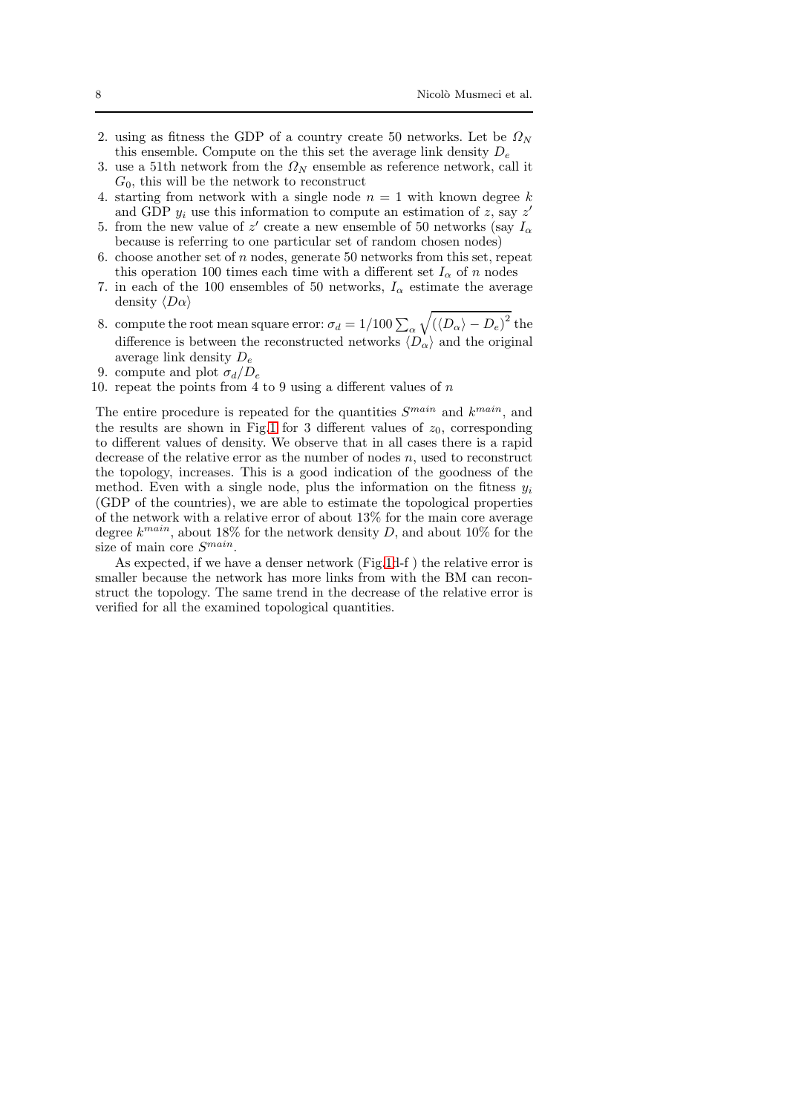- 2. using as fitness the GDP of a country create 50 networks. Let be  $\Omega_N$ this ensemble. Compute on the this set the average link density  $D_e$
- 3. use a 51th network from the  $\Omega_N$  ensemble as reference network, call it  $G_0$ , this will be the network to reconstruct
- 4. starting from network with a single node  $n = 1$  with known degree k and GDP  $y_i$  use this information to compute an estimation of z, say z'
- 5. from the new value of  $z'$  create a new ensemble of 50 networks (say  $I_{\alpha}$ because is referring to one particular set of random chosen nodes)
- 6. choose another set of  $n$  nodes, generate 50 networks from this set, repeat this operation 100 times each time with a different set  $I_{\alpha}$  of n nodes
- 7. in each of the 100 ensembles of 50 networks,  $I_{\alpha}$  estimate the average density  $\langle D\alpha \rangle$
- 8. compute the root mean square error:  $\sigma_d = 1/100 \sum_\alpha \sqrt{(\langle D_\alpha \rangle D_e)^2}$  the difference is between the reconstructed networks  $\langle D_{\alpha} \rangle$  and the original average link density  $D_e$
- 9. compute and plot  $\sigma_d/D_e$
- 10. repeat the points from 4 to 9 using a different values of  $n$

The entire procedure is repeated for the quantities  $S^{main}$  and  $k^{main}$ , and the results are shown in Fig[.1](#page-8-1) for 3 different values of  $z_0$ , corresponding to different values of density. We observe that in all cases there is a rapid decrease of the relative error as the number of nodes  $n$ , used to reconstruct the topology, increases. This is a good indication of the goodness of the method. Even with a single node, plus the information on the fitness  $y_i$ (GDP of the countries), we are able to estimate the topological properties of the network with a relative error of about 13% for the main core average degree  $k^{main}$ , about 18% for the network density D, and about 10% for the size of main core  $S^{main}$ .

As expected, if we have a denser network (Fig[.1d](#page-8-1)-f ) the relative error is smaller because the network has more links from with the BM can reconstruct the topology. The same trend in the decrease of the relative error is verified for all the examined topological quantities.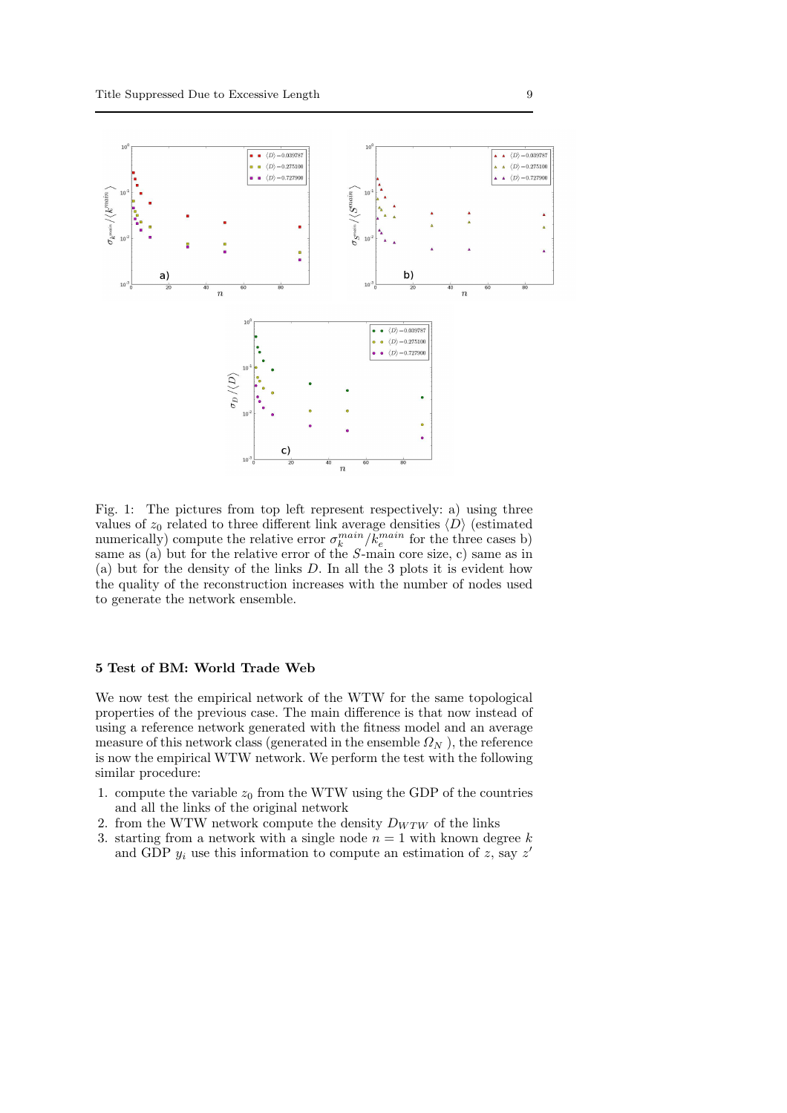<span id="page-8-1"></span>

Fig. 1: The pictures from top left represent respectively: a) using three values of  $z_0$  related to three different link average densities  $\langle D \rangle$  (estimated numerically) compute the relative error  $\sigma_k^{main}/\bar{k}_e^{main}$  for the three cases b) same as (a) but for the relative error of the S-main core size, c) same as in (a) but for the density of the links D. In all the 3 plots it is evident how the quality of the reconstruction increases with the number of nodes used to generate the network ensemble.

#### <span id="page-8-0"></span>5 Test of BM: World Trade Web

We now test the empirical network of the WTW for the same topological properties of the previous case. The main difference is that now instead of using a reference network generated with the fitness model and an average measure of this network class (generated in the ensemble  $\Omega_N$ ), the reference is now the empirical WTW network. We perform the test with the following similar procedure:

- 1. compute the variable  $z_0$  from the WTW using the GDP of the countries and all the links of the original network
- 2. from the WTW network compute the density  $D_{WTW}$  of the links
- 3. starting from a network with a single node  $n = 1$  with known degree k and GDP  $y_i$  use this information to compute an estimation of z, say z'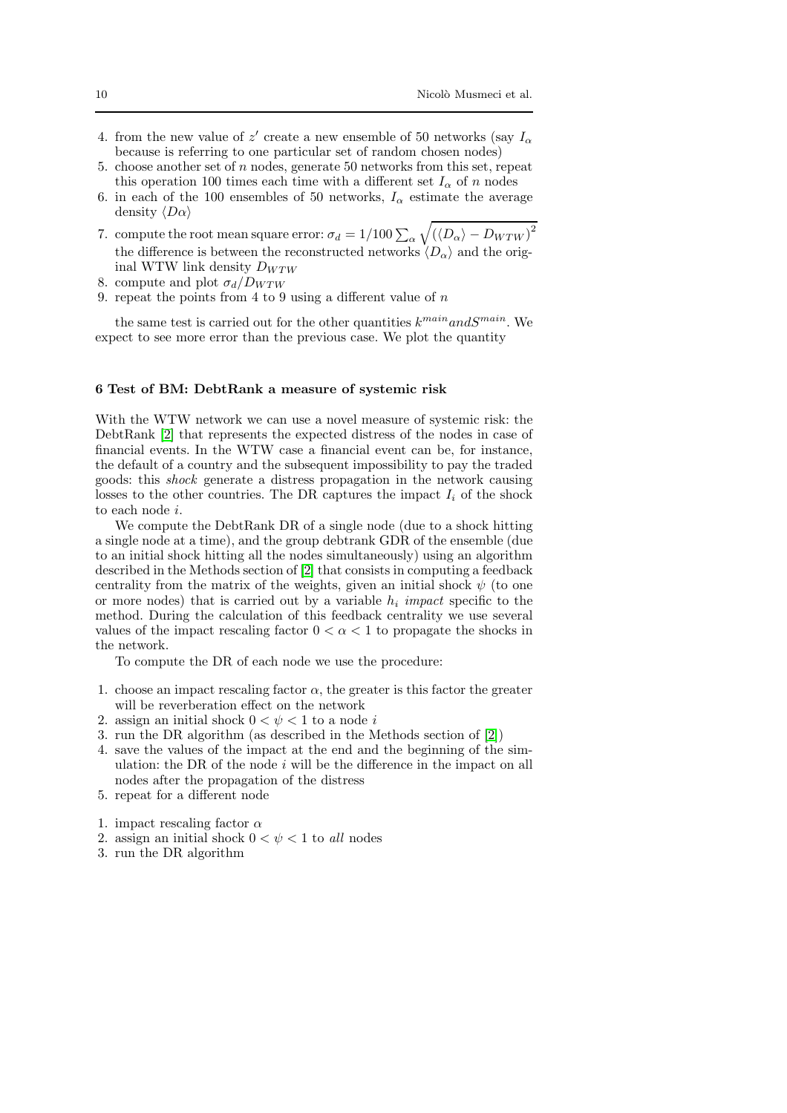- 4. from the new value of  $z'$  create a new ensemble of 50 networks (say  $I_{\alpha}$ because is referring to one particular set of random chosen nodes)
- 5. choose another set of  $n$  nodes, generate 50 networks from this set, repeat this operation 100 times each time with a different set  $I_{\alpha}$  of n nodes 6. in each of the 100 ensembles of 50 networks,  $I_{\alpha}$  estimate the average
- density  $\langle D\alpha \rangle$
- 7. compute the root mean square error:  $\sigma_d = 1/100 \sum_{\alpha} \sqrt{(\langle D_{\alpha} \rangle D_{WTW})^2}$ the difference is between the reconstructed networks  $\langle D_{\alpha} \rangle$  and the original WTW link density  $D_{WTW}$
- 8. compute and plot  $\sigma_d/D_{WTW}$
- 9. repeat the points from 4 to 9 using a different value of  $n$

the same test is carried out for the other quantities  $k^{main}$  and  $S^{main}$ . We expect to see more error than the previous case. We plot the quantity

## <span id="page-9-0"></span>6 Test of BM: DebtRank a measure of systemic risk

With the WTW network we can use a novel measure of systemic risk: the DebtRank [\[2\]](#page-16-3) that represents the expected distress of the nodes in case of financial events. In the WTW case a financial event can be, for instance, the default of a country and the subsequent impossibility to pay the traded goods: this shock generate a distress propagation in the network causing losses to the other countries. The DR captures the impact  $I_i$  of the shock to each node i.

We compute the DebtRank DR of a single node (due to a shock hitting a single node at a time), and the group debtrank GDR of the ensemble (due to an initial shock hitting all the nodes simultaneously) using an algorithm described in the Methods section of [\[2\]](#page-16-3) that consists in computing a feedback centrality from the matrix of the weights, given an initial shock  $\psi$  (to one or more nodes) that is carried out by a variable  $h_i$  impact specific to the method. During the calculation of this feedback centrality we use several values of the impact rescaling factor  $0 < \alpha < 1$  to propagate the shocks in the network.

To compute the DR of each node we use the procedure:

- 1. choose an impact rescaling factor  $\alpha$ , the greater is this factor the greater will be reverberation effect on the network
- 2. assign an initial shock  $0 < \psi < 1$  to a node i
- 3. run the DR algorithm (as described in the Methods section of [\[2\]](#page-16-3))
- 4. save the values of the impact at the end and the beginning of the simulation: the DR of the node  $i$  will be the difference in the impact on all nodes after the propagation of the distress
- 5. repeat for a different node
- 1. impact rescaling factor  $\alpha$
- 2. assign an initial shock  $0 < \psi < 1$  to all nodes
- 3. run the DR algorithm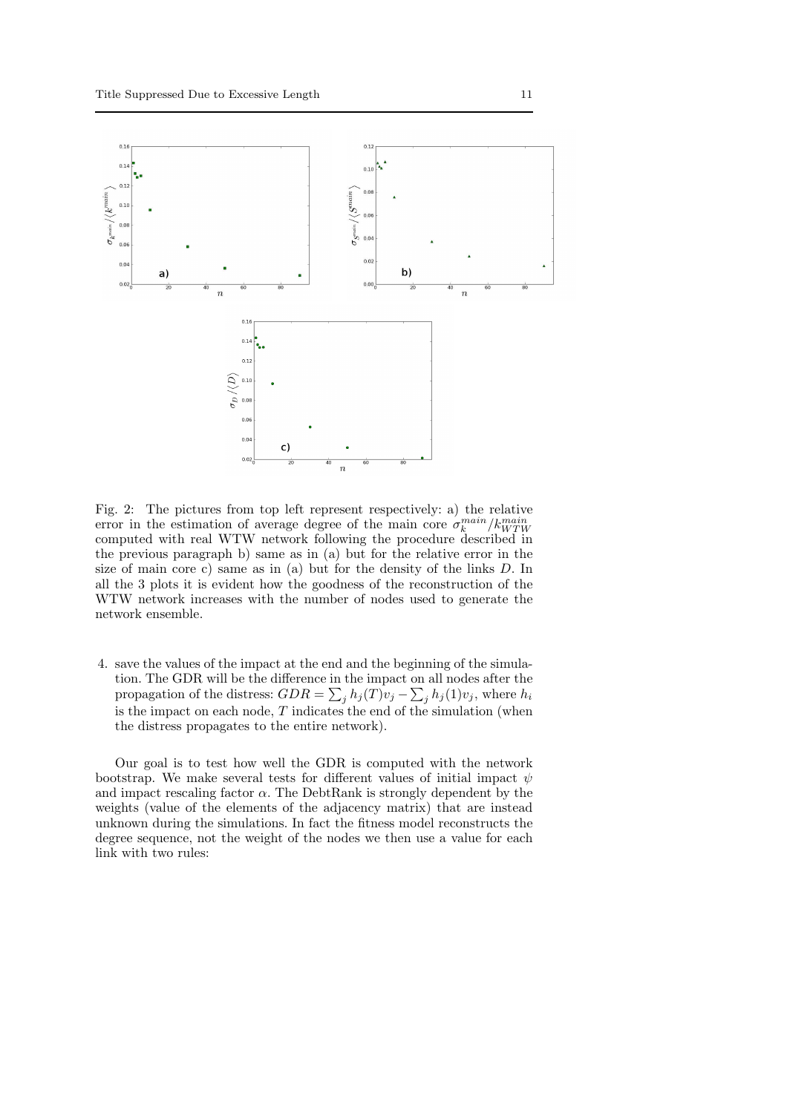

Fig. 2: The pictures from top left represent respectively: a) the relative error in the estimation of average degree of the main core  $\sigma_k^{main}/k_{WTW}^{main}$ computed with real WTW network following the procedure described in the previous paragraph b) same as in (a) but for the relative error in the size of main core c) same as in (a) but for the density of the links D. In all the 3 plots it is evident how the goodness of the reconstruction of the WTW network increases with the number of nodes used to generate the network ensemble.

4. save the values of the impact at the end and the beginning of the simulation. The GDR will be the difference in the impact on all nodes after the propagation of the distress:  $GDR = \sum_j h_j(T)v_j - \sum_j h_j(1)v_j$ , where  $h_i$ is the impact on each node,  $T$  indicates the end of the simulation (when the distress propagates to the entire network).

Our goal is to test how well the GDR is computed with the network bootstrap. We make several tests for different values of initial impact  $\psi$ and impact rescaling factor  $\alpha$ . The DebtRank is strongly dependent by the weights (value of the elements of the adjacency matrix) that are instead unknown during the simulations. In fact the fitness model reconstructs the degree sequence, not the weight of the nodes we then use a value for each link with two rules: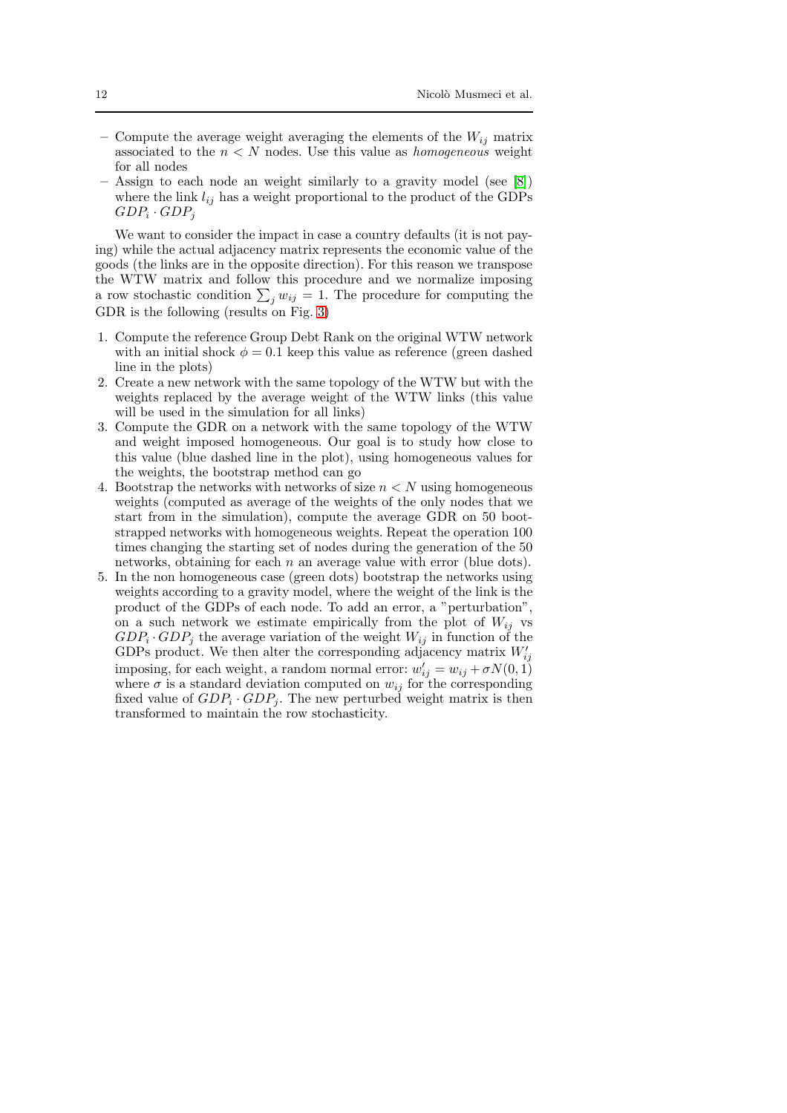- Compute the average weight averaging the elements of the  $W_{ij}$  matrix associated to the  $n < N$  nodes. Use this value as *homogeneous* weight for all nodes
- Assign to each node an weight similarly to a gravity model (see [\[8\]](#page-16-16)) where the link  $l_{ij}$  has a weight proportional to the product of the GDPs  $GDP_i \cdot GDP_j$

We want to consider the impact in case a country defaults (it is not paying) while the actual adjacency matrix represents the economic value of the goods (the links are in the opposite direction). For this reason we transpose the WTW matrix and follow this procedure and we normalize imposing a row stochastic condition  $\sum_j w_{ij} = 1$ . The procedure for computing the GDR is the following (results on Fig. [3\)](#page-12-0)

- 1. Compute the reference Group Debt Rank on the original WTW network with an initial shock  $\phi = 0.1$  keep this value as reference (green dashed line in the plots)
- 2. Create a new network with the same topology of the WTW but with the weights replaced by the average weight of the WTW links (this value will be used in the simulation for all links)
- 3. Compute the GDR on a network with the same topology of the WTW and weight imposed homogeneous. Our goal is to study how close to this value (blue dashed line in the plot), using homogeneous values for the weights, the bootstrap method can go
- 4. Bootstrap the networks with networks of size  $n < N$  using homogeneous weights (computed as average of the weights of the only nodes that we start from in the simulation), compute the average GDR on 50 bootstrapped networks with homogeneous weights. Repeat the operation 100 times changing the starting set of nodes during the generation of the 50 networks, obtaining for each  $n$  an average value with error (blue dots).
- 5. In the non homogeneous case (green dots) bootstrap the networks using weights according to a gravity model, where the weight of the link is the product of the GDPs of each node. To add an error, a "perturbation", on a such network we estimate empirically from the plot of  $W_{ij}$  vs  $GDP_i \cdot GDP_j$  the average variation of the weight  $W_{ij}$  in function of the GDPs product. We then alter the corresponding adjacency matrix  $W'_{ij}$ imposing, for each weight, a random normal error:  $w'_{ij} = w_{ij} + \sigma N(0, 1)$ where  $\sigma$  is a standard deviation computed on  $w_{ij}$  for the corresponding fixed value of  $GDP_i \cdot GDP_j$ . The new perturbed weight matrix is then transformed to maintain the row stochasticity.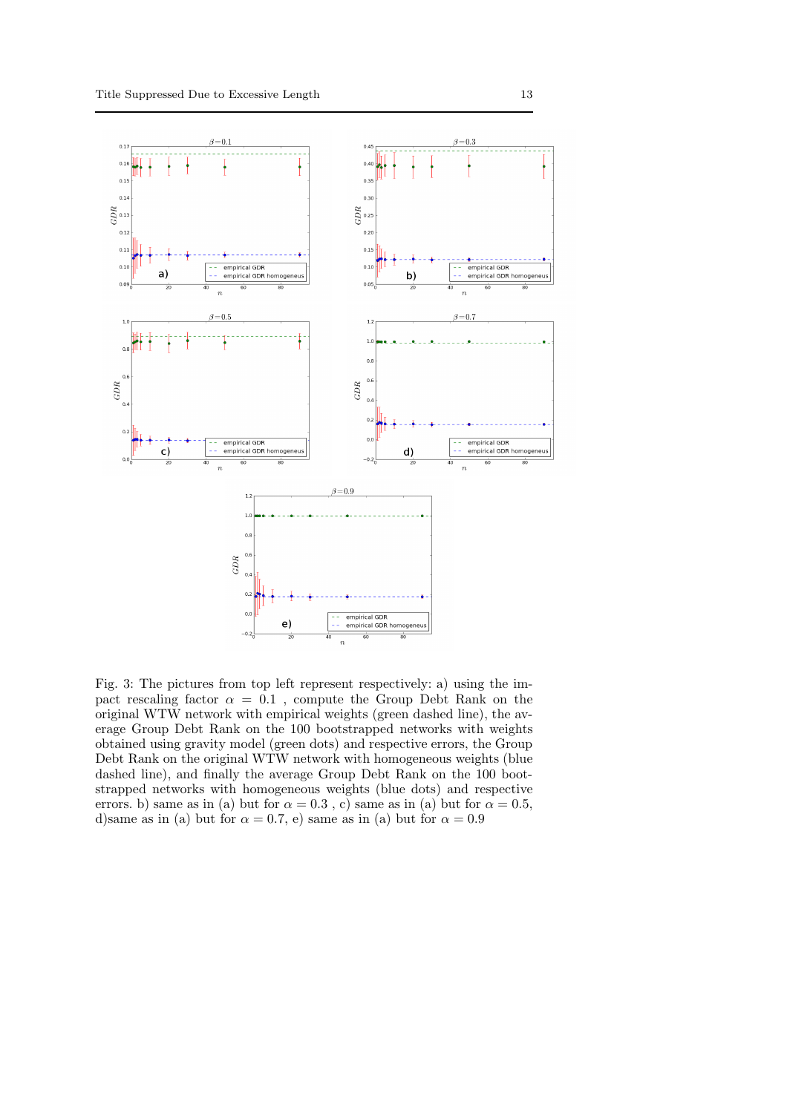<span id="page-12-0"></span>

Fig. 3: The pictures from top left represent respectively: a) using the impact rescaling factor  $\alpha = 0.1$ , compute the Group Debt Rank on the original WTW network with empirical weights (green dashed line), the average Group Debt Rank on the 100 bootstrapped networks with weights obtained using gravity model (green dots) and respective errors, the Group Debt Rank on the original WTW network with homogeneous weights (blue dashed line), and finally the average Group Debt Rank on the 100 bootstrapped networks with homogeneous weights (blue dots) and respective errors. b) same as in (a) but for  $\alpha = 0.3$ , c) same as in (a) but for  $\alpha = 0.5$ , d)same as in (a) but for  $\alpha = 0.7$ , e) same as in (a) but for  $\alpha = 0.9$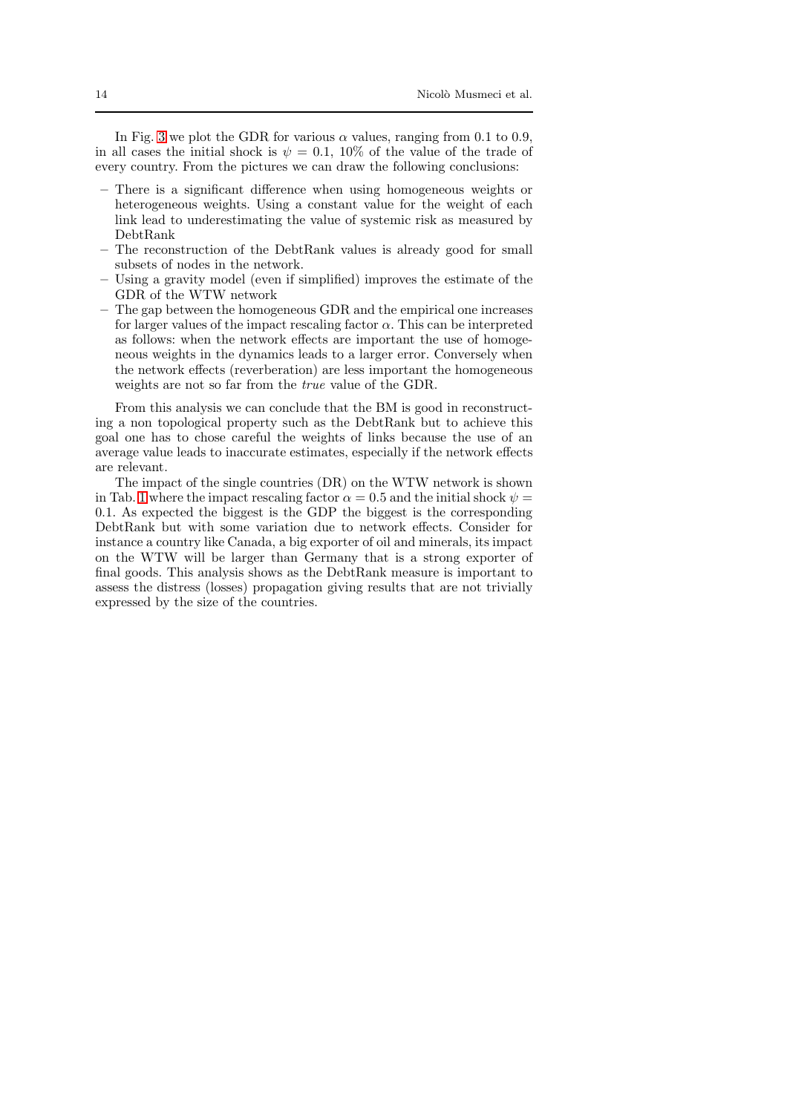In Fig. [3](#page-12-0) we plot the GDR for various  $\alpha$  values, ranging from 0.1 to 0.9, in all cases the initial shock is  $\psi = 0.1$ , 10% of the value of the trade of every country. From the pictures we can draw the following conclusions:

- There is a significant difference when using homogeneous weights or heterogeneous weights. Using a constant value for the weight of each link lead to underestimating the value of systemic risk as measured by DebtRank
- The reconstruction of the DebtRank values is already good for small subsets of nodes in the network.
- Using a gravity model (even if simplified) improves the estimate of the GDR of the WTW network
- The gap between the homogeneous GDR and the empirical one increases for larger values of the impact rescaling factor  $\alpha$ . This can be interpreted as follows: when the network effects are important the use of homogeneous weights in the dynamics leads to a larger error. Conversely when the network effects (reverberation) are less important the homogeneous weights are not so far from the true value of the GDR.

From this analysis we can conclude that the BM is good in reconstructing a non topological property such as the DebtRank but to achieve this goal one has to chose careful the weights of links because the use of an average value leads to inaccurate estimates, especially if the network effects are relevant.

The impact of the single countries (DR) on the WTW network is shown in Tab. [1](#page-14-0) where the impact rescaling factor  $\alpha = 0.5$  and the initial shock  $\psi =$ 0.1. As expected the biggest is the GDP the biggest is the corresponding DebtRank but with some variation due to network effects. Consider for instance a country like Canada, a big exporter of oil and minerals, its impact on the WTW will be larger than Germany that is a strong exporter of final goods. This analysis shows as the DebtRank measure is important to assess the distress (losses) propagation giving results that are not trivially expressed by the size of the countries.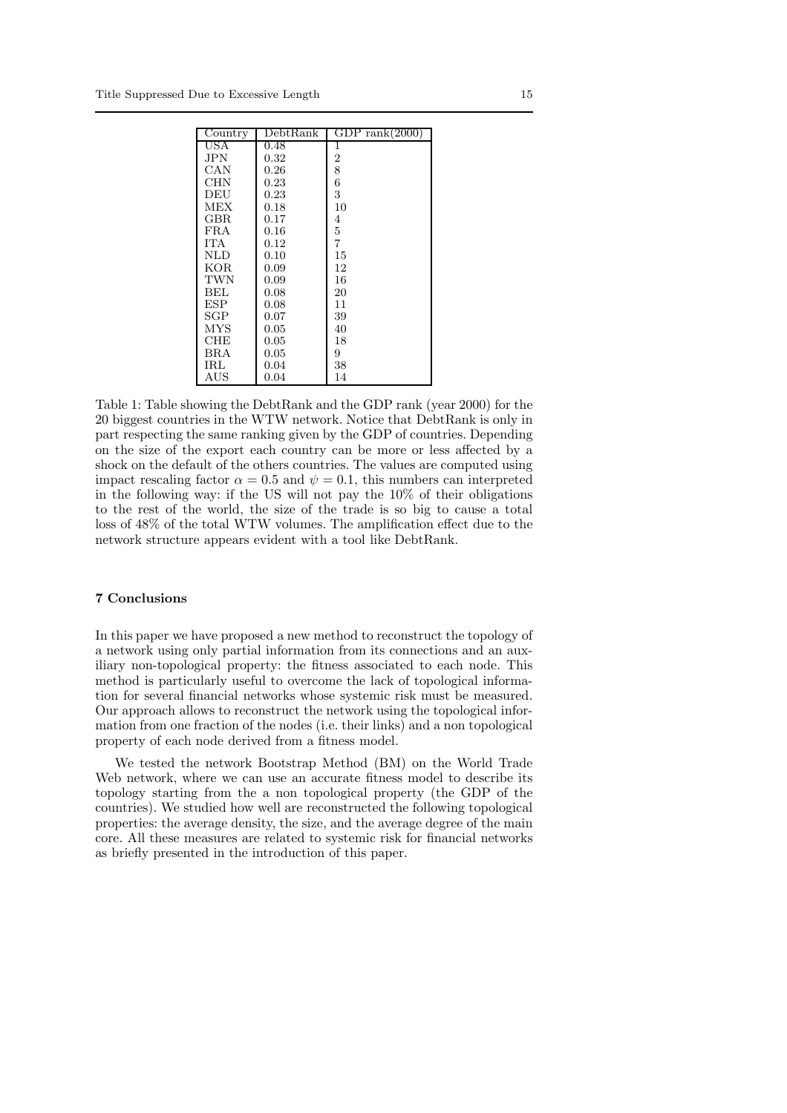<span id="page-14-0"></span>

| $\overline{\text{Country}}$ | DebtRank | GDP rank $(2000)$ |
|-----------------------------|----------|-------------------|
| USA                         | 0.48     | 1                 |
| <b>JPN</b>                  | 0.32     | $\overline{2}$    |
| CAN                         | 0.26     | 8                 |
| <b>CHN</b>                  | 0.23     | 6                 |
| DEU                         | 0.23     | 3                 |
| MEX                         | 0.18     | 10                |
| GBR                         | 0.17     | 4                 |
| FRA                         | 0.16     | 5                 |
| <b>TTA</b>                  | 0.12     | 7                 |
| NLD                         | 0.10     | 15                |
| KOR                         | 0.09     | 12                |
| TWN                         | 0.09     | 16                |
| BEL                         | 0.08     | 20                |
| ESP                         | 0.08     | 11                |
| SGP                         | 0.07     | 39                |
| MYS                         | 0.05     | 40                |
| <b>CHE</b>                  | 0.05     | 18                |
| BRA                         | 0.05     | 9                 |
| IRL                         | 0.04     | 38                |
| AUS                         | 0.04     | 14                |

Table 1: Table showing the DebtRank and the GDP rank (year 2000) for the 20 biggest countries in the WTW network. Notice that DebtRank is only in part respecting the same ranking given by the GDP of countries. Depending on the size of the export each country can be more or less affected by a shock on the default of the others countries. The values are computed using impact rescaling factor  $\alpha = 0.5$  and  $\psi = 0.1$ , this numbers can interpreted in the following way: if the US will not pay the 10% of their obligations to the rest of the world, the size of the trade is so big to cause a total loss of 48% of the total WTW volumes. The amplification effect due to the network structure appears evident with a tool like DebtRank.

# 7 Conclusions

In this paper we have proposed a new method to reconstruct the topology of a network using only partial information from its connections and an auxiliary non-topological property: the fitness associated to each node. This method is particularly useful to overcome the lack of topological information for several financial networks whose systemic risk must be measured. Our approach allows to reconstruct the network using the topological information from one fraction of the nodes (i.e. their links) and a non topological property of each node derived from a fitness model.

We tested the network Bootstrap Method (BM) on the World Trade Web network, where we can use an accurate fitness model to describe its topology starting from the a non topological property (the GDP of the countries). We studied how well are reconstructed the following topological properties: the average density, the size, and the average degree of the main core. All these measures are related to systemic risk for financial networks as briefly presented in the introduction of this paper.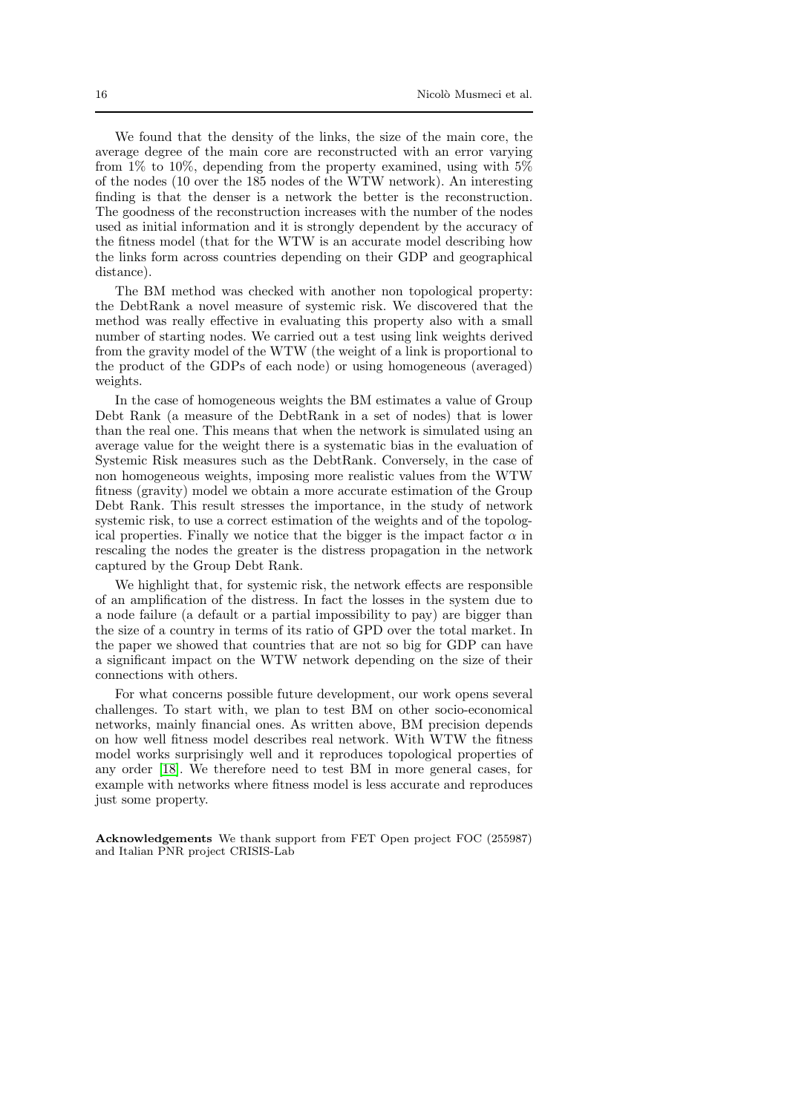We found that the density of the links, the size of the main core, the average degree of the main core are reconstructed with an error varying from  $1\%$  to  $10\%$ , depending from the property examined, using with  $5\%$ of the nodes (10 over the 185 nodes of the WTW network). An interesting finding is that the denser is a network the better is the reconstruction. The goodness of the reconstruction increases with the number of the nodes used as initial information and it is strongly dependent by the accuracy of the fitness model (that for the WTW is an accurate model describing how the links form across countries depending on their GDP and geographical distance).

The BM method was checked with another non topological property: the DebtRank a novel measure of systemic risk. We discovered that the method was really effective in evaluating this property also with a small number of starting nodes. We carried out a test using link weights derived from the gravity model of the WTW (the weight of a link is proportional to the product of the GDPs of each node) or using homogeneous (averaged) weights.

In the case of homogeneous weights the BM estimates a value of Group Debt Rank (a measure of the DebtRank in a set of nodes) that is lower than the real one. This means that when the network is simulated using an average value for the weight there is a systematic bias in the evaluation of Systemic Risk measures such as the DebtRank. Conversely, in the case of non homogeneous weights, imposing more realistic values from the WTW fitness (gravity) model we obtain a more accurate estimation of the Group Debt Rank. This result stresses the importance, in the study of network systemic risk, to use a correct estimation of the weights and of the topological properties. Finally we notice that the bigger is the impact factor  $\alpha$  in rescaling the nodes the greater is the distress propagation in the network captured by the Group Debt Rank.

We highlight that, for systemic risk, the network effects are responsible of an amplification of the distress. In fact the losses in the system due to a node failure (a default or a partial impossibility to pay) are bigger than the size of a country in terms of its ratio of GPD over the total market. In the paper we showed that countries that are not so big for GDP can have a significant impact on the WTW network depending on the size of their connections with others.

For what concerns possible future development, our work opens several challenges. To start with, we plan to test BM on other socio-economical networks, mainly financial ones. As written above, BM precision depends on how well fitness model describes real network. With WTW the fitness model works surprisingly well and it reproduces topological properties of any order [\[18\]](#page-16-17). We therefore need to test BM in more general cases, for example with networks where fitness model is less accurate and reproduces just some property.

Acknowledgements We thank support from FET Open project FOC (255987) and Italian PNR project CRISIS-Lab